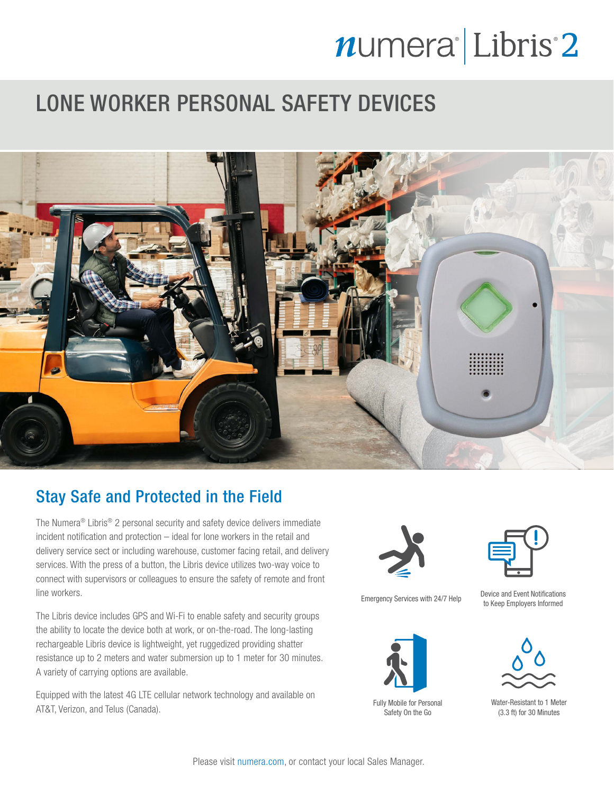# numera<sup>l</sup>Libris<sup>2</sup>

### LONE WORKER PERSONAL SAFETY DEVICES



### Stay Safe and Protected in the Field

The Numera® Libris® 2 personal security and safety device delivers immediate incident notification and protection – ideal for lone workers in the retail and delivery service sect or including warehouse, customer facing retail, and delivery services. With the press of a button, the Libris device utilizes two-way voice to connect with supervisors or colleagues to ensure the safety of remote and front line workers.

The Libris device includes GPS and Wi-Fi to enable safety and security groups the ability to locate the device both at work, or on-the-road. The long-lasting rechargeable Libris device is lightweight, yet ruggedized providing shatter resistance up to 2 meters and water submersion up to 1 meter for 30 minutes. A variety of carrying options are available.

Equipped with the latest 4G LTE cellular network technology and available on AT&T, Verizon, and Telus (Canada).





Fully Mobile for Personal Safety On the Go



Emergency Services with 24/7 Help Device and Event Notifications to Keep Employers Informed



Water-Resistant to 1 Meter (3.3 ft) for 30 Minutes